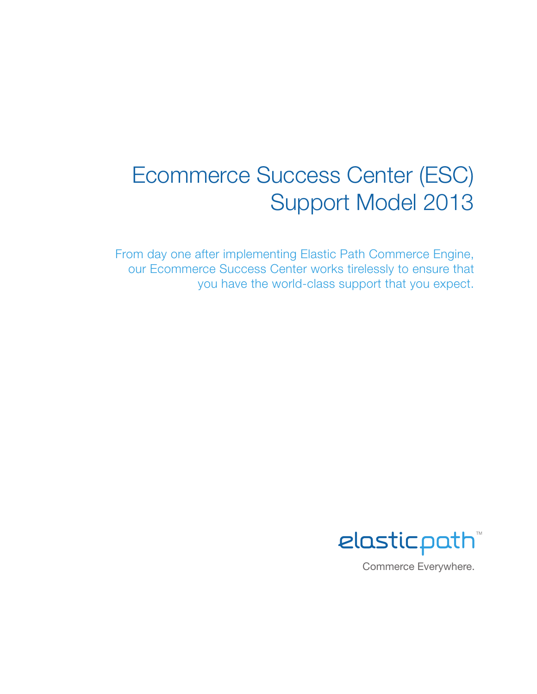# Ecommerce Success Center (ESC) Support Model 2013

From day one after implementing Elastic Path Commerce Engine, our Ecommerce Success Center works tirelessly to ensure that you have the world-class support that you expect.

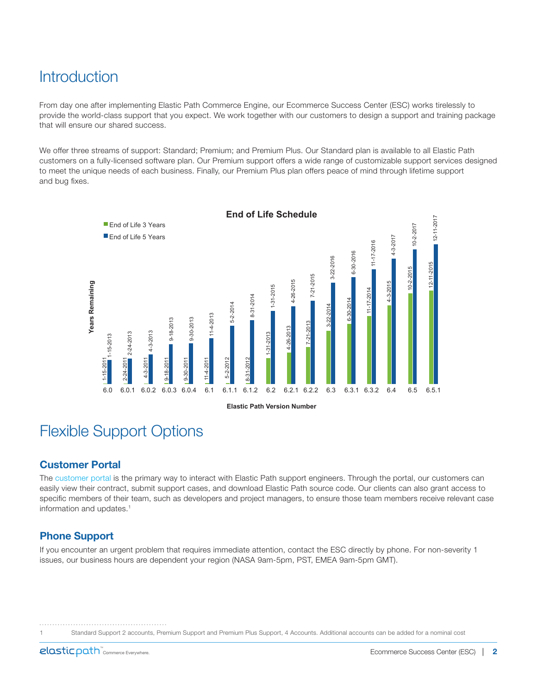# **Introduction**

From day one after implementing Elastic Path Commerce Engine, our Ecommerce Success Center (ESC) works tirelessly to provide the world-class support that you expect. We work together with our customers to design a support and training package that will ensure our shared success.

We offer three streams of support: Standard; Premium; and Premium Plus. Our Standard plan is available to all Elastic Path customers on a fully-licensed software plan. Our Premium support offers a wide range of customizable support services designed to meet the unique needs of each business. Finally, our Premium Plus plan offers peace of mind through lifetime support and bug fixes.



# Flexible Support Options

# Customer Portal

The [customer portal](http://support.elasticpath.com/support/portal/login.jsf?action=/portal/index.jsp) is the primary way to interact with Elastic Path support engineers. Through the portal, our customers can easily view their contract, submit support cases, and download Elastic Path source code. Our clients can also grant access to specific members of their team, such as developers and project managers, to ensure those team members receive relevant case information and updates.<sup>1</sup>

# Phone Support

If you encounter an urgent problem that requires immediate attention, contact the ESC directly by phone. For non-severity 1 issues, our business hours are dependent your region (NASA 9am-5pm, PST, EMEA 9am-5pm GMT).

1 Standard Support 2 accounts, Premium Support and Premium Plus Support, 4 Accounts. Additional accounts can be added for a nominal cost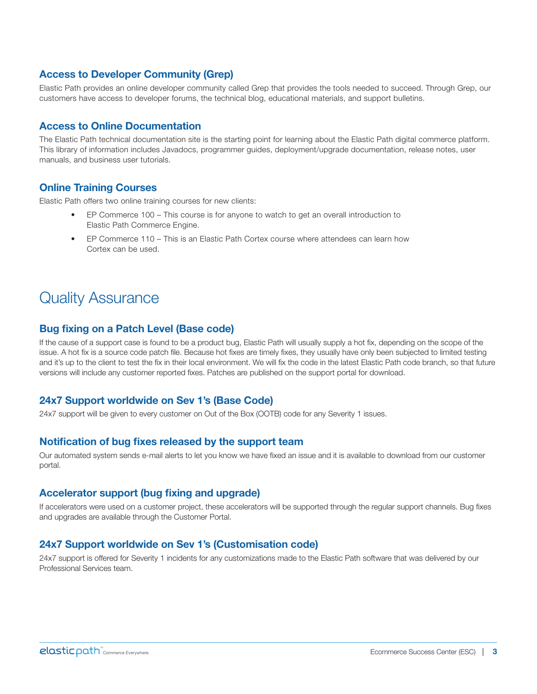# Access to Developer Community (Grep)

Elastic Path provides an online developer community called Grep that provides the tools needed to succeed. Through Grep, our customers have access to developer forums, the technical blog, educational materials, and support bulletins.

#### Access to Online Documentation

The Elastic Path technical documentation site is the starting point for learning about the Elastic Path digital commerce platform. This library of information includes Javadocs, programmer guides, deployment/upgrade documentation, release notes, user manuals, and business user tutorials.

### Online Training Courses

Elastic Path offers two online training courses for new clients:

- EP Commerce 100 This course is for anyone to watch to get an overall introduction to Elastic Path Commerce Engine.
- EP Commerce 110 This is an Elastic Path Cortex course where attendees can learn how Cortex can be used.

# Quality Assurance

### Bug fixing on a Patch Level (Base code)

If the cause of a support case is found to be a product bug, Elastic Path will usually supply a hot fix, depending on the scope of the issue. A hot fix is a source code patch file. Because hot fixes are timely fixes, they usually have only been subjected to limited testing and it's up to the client to test the fix in their local environment. We will fix the code in the latest Elastic Path code branch, so that future versions will include any customer reported fixes. Patches are published on the support portal for download.

# 24x7 Support worldwide on Sev 1's (Base Code)

24x7 support will be given to every customer on Out of the Box (OOTB) code for any Severity 1 issues.

#### Notification of bug fixes released by the support team

Our automated system sends e-mail alerts to let you know we have fixed an issue and it is available to download from our customer portal.

#### Accelerator support (bug fixing and upgrade)

If accelerators were used on a customer project, these accelerators will be supported through the regular support channels. Bug fixes and upgrades are available through the Customer Portal.

# 24x7 Support worldwide on Sev 1's (Customisation code)

24x7 support is offered for Severity 1 incidents for any customizations made to the Elastic Path software that was delivered by our Professional Services team.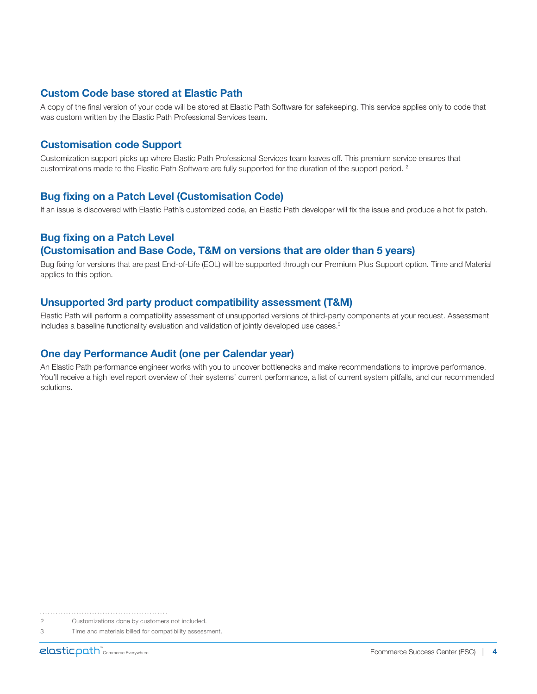### Custom Code base stored at Elastic Path

A copy of the final version of your code will be stored at Elastic Path Software for safekeeping. This service applies only to code that was custom written by the Elastic Path Professional Services team.

### Customisation code Support

Customization support picks up where Elastic Path Professional Services team leaves off. This premium service ensures that customizations made to the Elastic Path Software are fully supported for the duration of the support period. 2

#### Bug fixing on a Patch Level (Customisation Code)

If an issue is discovered with Elastic Path's customized code, an Elastic Path developer will fix the issue and produce a hot fix patch.

# Bug fixing on a Patch Level (Customisation and Base Code, T&M on versions that are older than 5 years)

Bug fixing for versions that are past End-of-Life (EOL) will be supported through our Premium Plus Support option. Time and Material applies to this option.

#### Unsupported 3rd party product compatibility assessment (T&M)

Elastic Path will perform a compatibility assessment of unsupported versions of third-party components at your request. Assessment includes a baseline functionality evaluation and validation of jointly developed use cases.<sup>3</sup>

#### One day Performance Audit (one per Calendar year)

An Elastic Path performance engineer works with you to uncover bottlenecks and make recommendations to improve performance. You'll receive a high level report overview of their systems' current performance, a list of current system pitfalls, and our recommended solutions.

2 Customizations done by customers not included.

<sup>3</sup> Time and materials billed for compatibility assessment.